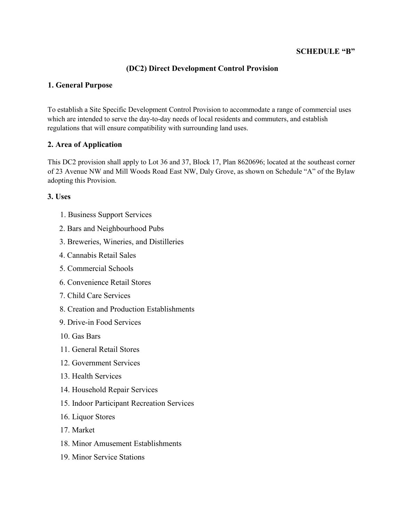### **SCHEDULE "B"**

## **(DC2) Direct Development Control Provision**

### **1. General Purpose**

To establish a Site Specific Development Control Provision to accommodate a range of commercial uses which are intended to serve the day-to-day needs of local residents and commuters, and establish regulations that will ensure compatibility with surrounding land uses.

### **2. Area of Application**

This DC2 provision shall apply to Lot 36 and 37, Block 17, Plan 8620696; located at the southeast corner of 23 Avenue NW and Mill Woods Road East NW, Daly Grove, as shown on Schedule "A" of the Bylaw adopting this Provision.

#### **3. Uses**

- 1. Business Support Services
- 2. Bars and Neighbourhood Pubs
- 3. Breweries, Wineries, and Distilleries
- 4. Cannabis Retail Sales
- 5. Commercial Schools
- 6. Convenience Retail Stores
- 7. Child Care Services
- 8. Creation and Production Establishments
- 9. Drive-in Food Services
- 10. Gas Bars
- 11. General Retail Stores
- 12. Government Services
- 13. Health Services
- 14. Household Repair Services
- 15. Indoor Participant Recreation Services
- 16. Liquor Stores
- 17. Market
- 18. Minor Amusement Establishments
- 19. Minor Service Stations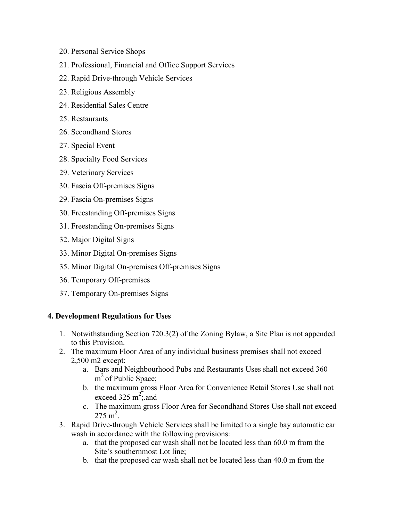- 20. Personal Service Shops
- 21. Professional, Financial and Office Support Services
- 22. Rapid Drive-through Vehicle Services
- 23. Religious Assembly
- 24. Residential Sales Centre
- 25. Restaurants
- 26. Secondhand Stores
- 27. Special Event
- 28. Specialty Food Services
- 29. Veterinary Services
- 30. Fascia Off-premises Signs
- 29. Fascia On-premises Signs
- 30. Freestanding Off-premises Signs
- 31. Freestanding On-premises Signs
- 32. Major Digital Signs
- 33. Minor Digital On-premises Signs
- 35. Minor Digital On-premises Off-premises Signs
- 36. Temporary Off-premises
- 37. Temporary On-premises Signs

#### **4. Development Regulations for Uses**

- 1. Notwithstanding Section 720.3(2) of the Zoning Bylaw, a Site Plan is not appended to this Provision.
- 2. The maximum Floor Area of any individual business premises shall not exceed 2,500 m2 except:
	- a. Bars and Neighbourhood Pubs and Restaurants Uses shall not exceed 360 m<sup>2</sup> of Public Space;
	- b. the maximum gross Floor Area for Convenience Retail Stores Use shall not exceed 325  $m^2$ ; and
	- c. The maximum gross Floor Area for Secondhand Stores Use shall not exceed  $275 \text{ m}^2$ .
- 3. Rapid Drive-through Vehicle Services shall be limited to a single bay automatic car wash in accordance with the following provisions:
	- a. that the proposed car wash shall not be located less than 60.0 m from the Site's southernmost Lot line;
	- b. that the proposed car wash shall not be located less than 40.0 m from the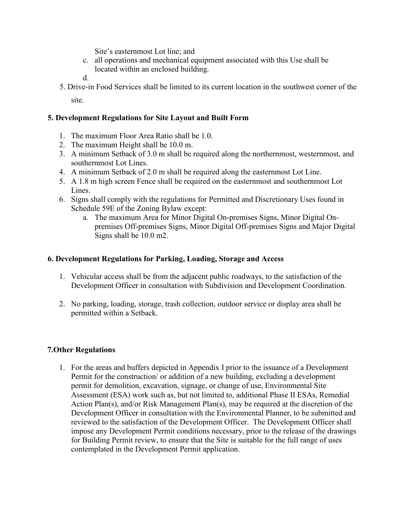Site's easternmost Lot line; and

c. all operations and mechanical equipment associated with this Use shall be located within an enclosed building.

d.

5. Drive-in Food Services shall be limited to its current location in the southwest corner of the site.

## **5. Development Regulations for Site Layout and Built Form**

- 1. The maximum Floor Area Ratio shall be 1.0.
- 2. The maximum Height shall be 10.0 m.
- 3. A minimum Setback of 3.0 m shall be required along the northernmost, westernmost, and southernmost Lot Lines.
- 4. A minimum Setback of 2.0 m shall be required along the easternmost Lot Line.
- 5. A 1.8 m high screen Fence shall be required on the easternmost and southernmost Lot Lines.
- 6. Signs shall comply with the regulations for Permitted and Discretionary Uses found in Schedule 59E of the Zoning Bylaw except:
	- a. The maximum Area for Minor Digital On-premises Signs, Minor Digital Onpremises Off-premises Signs, Minor Digital Off-premises Signs and Major Digital Signs shall be 10.0 m2.

## **6. Development Regulations for Parking, Loading, Storage and Access**

- 1. Vehicular access shall be from the adjacent public roadways, to the satisfaction of the Development Officer in consultation with Subdivision and Development Coordination.
- 2. No parking, loading, storage, trash collection, outdoor service or display area shall be permitted within a Setback.

# **7.Other Regulations**

1. For the areas and buffers depicted in Appendix I prior to the issuance of a Development Permit for the construction/ or addition of a new building, excluding a development permit for demolition, excavation, signage, or change of use, Environmental Site Assessment (ESA) work such as, but not limited to, additional Phase II ESAs, Remedial Action Plan(s), and/or Risk Management Plan(s), may be required at the discretion of the Development Officer in consultation with the Environmental Planner, to be submitted and reviewed to the satisfaction of the Development Officer. The Development Officer shall impose any Development Permit conditions necessary, prior to the release of the drawings for Building Permit review, to ensure that the Site is suitable for the full range of uses contemplated in the Development Permit application.